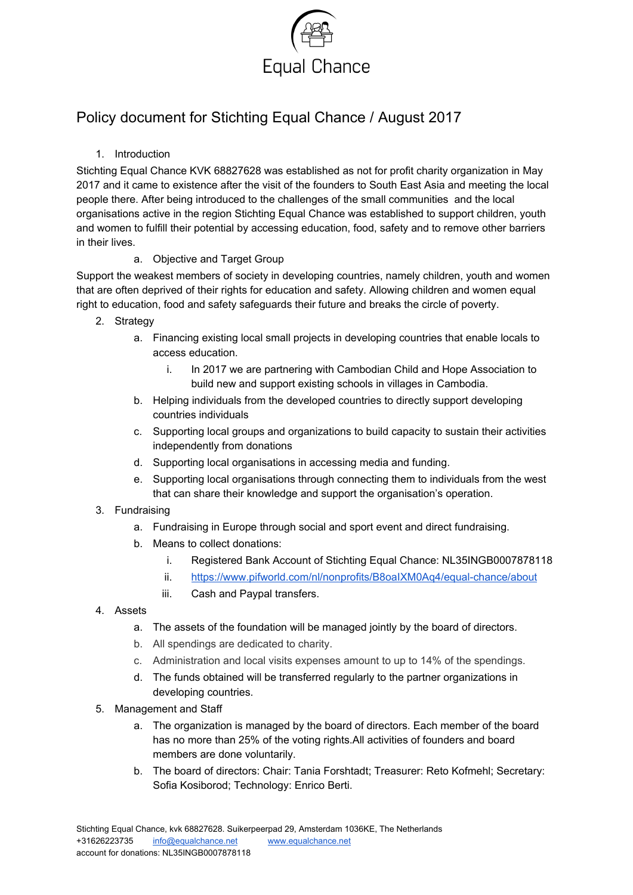

# Policy document for Stichting Equal Chance / August 2017

#### 1. Introduction

Stichting Equal Chance KVK 68827628 was established as not for profit charity organization in May 2017 and it came to existence after the visit of the founders to South East Asia and meeting the local people there. After being introduced to the challenges of the small communities and the local organisations active in the region Stichting Equal Chance was established to support children, youth and women to fulfill their potential by accessing education, food, safety and to remove other barriers in their lives.

#### a. Objective and Target Group

Support the weakest members of society in developing countries, namely children, youth and women that are often deprived of their rights for education and safety. Allowing children and women equal right to education, food and safety safeguards their future and breaks the circle of poverty.

- 2. Strategy
	- a. Financing existing local small projects in developing countries that enable locals to access education.
		- i. In 2017 we are partnering with Cambodian Child and Hope Association to build new and support existing schools in villages in Cambodia.
	- b. Helping individuals from the developed countries to directly support developing countries individuals
	- c. Supporting local groups and organizations to build capacity to sustain their activities independently from donations
	- d. Supporting local organisations in accessing media and funding.
	- e. Supporting local organisations through connecting them to individuals from the west that can share their knowledge and support the organisation's operation.
- 3. Fundraising
	- a. Fundraising in Europe through social and sport event and direct fundraising.
	- b. Means to collect donations:
		- i. Registered Bank Account of Stichting Equal Chance: NL35INGB0007878118
		- ii. <https://www.pifworld.com/nl/nonprofits/B8oaIXM0Aq4/equal-chance/about>
		- iii. Cash and Paypal transfers.
- 4. Assets
	- a. The assets of the foundation will be managed jointly by the board of directors.
	- b. All spendings are dedicated to charity.
	- c. Administration and local visits expenses amount to up to 14% of the spendings.
	- d. The funds obtained will be transferred regularly to the partner organizations in developing countries.
- 5. Management and Staff
	- a. The organization is managed by the board of directors. Each member of the board has no more than 25% of the voting rights.All activities of founders and board members are done voluntarily.
	- b. The board of directors: Chair: Tania Forshtadt; Treasurer: Reto Kofmehl; Secretary: Sofia Kosiborod; Technology: Enrico Berti.